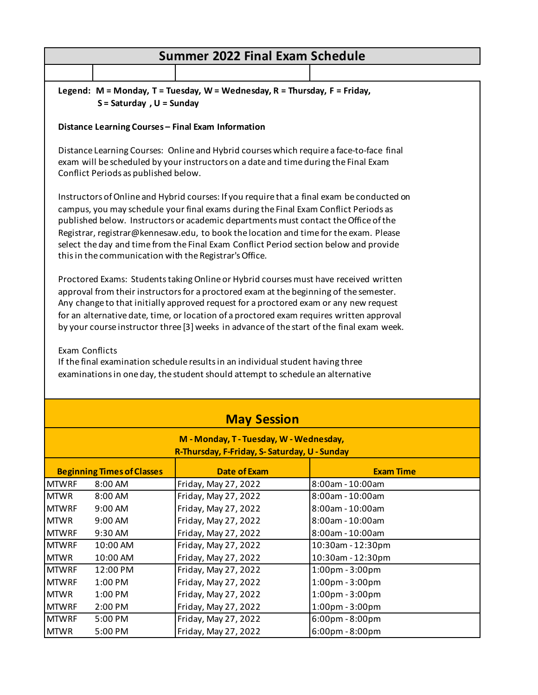| <b>Summer 2022 Final Exam Schedule</b>                                                                                                                                                                                                                                                                                                                                                                                                                                                                                                                                                                                                                                                                                                                                                                                                                                                                                                                                                                                                                                                                                                                                          |                                                                                                           |                                   |  |  |  |
|---------------------------------------------------------------------------------------------------------------------------------------------------------------------------------------------------------------------------------------------------------------------------------------------------------------------------------------------------------------------------------------------------------------------------------------------------------------------------------------------------------------------------------------------------------------------------------------------------------------------------------------------------------------------------------------------------------------------------------------------------------------------------------------------------------------------------------------------------------------------------------------------------------------------------------------------------------------------------------------------------------------------------------------------------------------------------------------------------------------------------------------------------------------------------------|-----------------------------------------------------------------------------------------------------------|-----------------------------------|--|--|--|
|                                                                                                                                                                                                                                                                                                                                                                                                                                                                                                                                                                                                                                                                                                                                                                                                                                                                                                                                                                                                                                                                                                                                                                                 |                                                                                                           |                                   |  |  |  |
|                                                                                                                                                                                                                                                                                                                                                                                                                                                                                                                                                                                                                                                                                                                                                                                                                                                                                                                                                                                                                                                                                                                                                                                 | Legend: M = Monday, T = Tuesday, W = Wednesday, R = Thursday, F = Friday,<br>$S =$ Saturday, $U =$ Sunday |                                   |  |  |  |
|                                                                                                                                                                                                                                                                                                                                                                                                                                                                                                                                                                                                                                                                                                                                                                                                                                                                                                                                                                                                                                                                                                                                                                                 | Distance Learning Courses - Final Exam Information                                                        |                                   |  |  |  |
| Distance Learning Courses: Online and Hybrid courses which require a face-to-face final<br>exam will be scheduled by your instructors on a date and time during the Final Exam<br>Conflict Periods as published below.                                                                                                                                                                                                                                                                                                                                                                                                                                                                                                                                                                                                                                                                                                                                                                                                                                                                                                                                                          |                                                                                                           |                                   |  |  |  |
| Instructors of Online and Hybrid courses: If you require that a final exam be conducted on<br>campus, you may schedule your final exams during the Final Exam Conflict Periods as<br>published below. Instructors or academic departments must contact the Office of the<br>Registrar, registrar@kennesaw.edu, to book the location and time for the exam. Please<br>select the day and time from the Final Exam Conflict Period section below and provide<br>this in the communication with the Registrar's Office.<br>Proctored Exams: Students taking Online or Hybrid courses must have received written<br>approval from their instructors for a proctored exam at the beginning of the semester.<br>Any change to that initially approved request for a proctored exam or any new request<br>for an alternative date, time, or location of a proctored exam requires written approval<br>by your course instructor three [3] weeks in advance of the start of the final exam week.<br>Exam Conflicts<br>If the final examination schedule results in an individual student having three<br>examinations in one day, the student should attempt to schedule an alternative |                                                                                                           |                                   |  |  |  |
|                                                                                                                                                                                                                                                                                                                                                                                                                                                                                                                                                                                                                                                                                                                                                                                                                                                                                                                                                                                                                                                                                                                                                                                 | <b>May Session</b>                                                                                        |                                   |  |  |  |
| M - Monday, T - Tuesday, W - Wednesday,                                                                                                                                                                                                                                                                                                                                                                                                                                                                                                                                                                                                                                                                                                                                                                                                                                                                                                                                                                                                                                                                                                                                         |                                                                                                           |                                   |  |  |  |
|                                                                                                                                                                                                                                                                                                                                                                                                                                                                                                                                                                                                                                                                                                                                                                                                                                                                                                                                                                                                                                                                                                                                                                                 | R-Thursday, F-Friday, S-Saturday, U - Sunday                                                              |                                   |  |  |  |
| <b>Beginning Times of Classes</b>                                                                                                                                                                                                                                                                                                                                                                                                                                                                                                                                                                                                                                                                                                                                                                                                                                                                                                                                                                                                                                                                                                                                               | <b>Date of Exam</b>                                                                                       | <b>Exam Time</b>                  |  |  |  |
| <b>MTWRF</b><br>8:00 AM                                                                                                                                                                                                                                                                                                                                                                                                                                                                                                                                                                                                                                                                                                                                                                                                                                                                                                                                                                                                                                                                                                                                                         | Friday, May 27, 2022                                                                                      | 8:00am - 10:00am                  |  |  |  |
| <b>MTWR</b><br>8:00 AM                                                                                                                                                                                                                                                                                                                                                                                                                                                                                                                                                                                                                                                                                                                                                                                                                                                                                                                                                                                                                                                                                                                                                          | Friday, May 27, 2022                                                                                      | 8:00am - 10:00am                  |  |  |  |
| <b>MTWRF</b><br>9:00 AM                                                                                                                                                                                                                                                                                                                                                                                                                                                                                                                                                                                                                                                                                                                                                                                                                                                                                                                                                                                                                                                                                                                                                         | Friday, May 27, 2022                                                                                      | 8:00am - 10:00am                  |  |  |  |
| <b>MTWR</b><br>9:00 AM                                                                                                                                                                                                                                                                                                                                                                                                                                                                                                                                                                                                                                                                                                                                                                                                                                                                                                                                                                                                                                                                                                                                                          | Friday, May 27, 2022                                                                                      | 8:00am - 10:00am                  |  |  |  |
| <b>MTWRF</b><br>9:30 AM                                                                                                                                                                                                                                                                                                                                                                                                                                                                                                                                                                                                                                                                                                                                                                                                                                                                                                                                                                                                                                                                                                                                                         | Friday, May 27, 2022                                                                                      | 8:00am - 10:00am                  |  |  |  |
| <b>MTWRF</b><br>10:00 AM                                                                                                                                                                                                                                                                                                                                                                                                                                                                                                                                                                                                                                                                                                                                                                                                                                                                                                                                                                                                                                                                                                                                                        | Friday, May 27, 2022                                                                                      | 10:30am - 12:30pm                 |  |  |  |
| <b>MTWR</b><br>10:00 AM                                                                                                                                                                                                                                                                                                                                                                                                                                                                                                                                                                                                                                                                                                                                                                                                                                                                                                                                                                                                                                                                                                                                                         | Friday, May 27, 2022                                                                                      | 10:30am - 12:30pm                 |  |  |  |
| <b>MTWRF</b><br>12:00 PM                                                                                                                                                                                                                                                                                                                                                                                                                                                                                                                                                                                                                                                                                                                                                                                                                                                                                                                                                                                                                                                                                                                                                        | Friday, May 27, 2022                                                                                      | 1:00pm - 3:00pm                   |  |  |  |
| <b>MTWRF</b><br>1:00 PM                                                                                                                                                                                                                                                                                                                                                                                                                                                                                                                                                                                                                                                                                                                                                                                                                                                                                                                                                                                                                                                                                                                                                         | Friday, May 27, 2022                                                                                      | 1:00pm - 3:00pm                   |  |  |  |
| <b>MTWR</b><br>1:00 PM                                                                                                                                                                                                                                                                                                                                                                                                                                                                                                                                                                                                                                                                                                                                                                                                                                                                                                                                                                                                                                                                                                                                                          | Friday, May 27, 2022                                                                                      | 1:00pm - 3:00pm                   |  |  |  |
| <b>MTWRF</b><br>2:00 PM                                                                                                                                                                                                                                                                                                                                                                                                                                                                                                                                                                                                                                                                                                                                                                                                                                                                                                                                                                                                                                                                                                                                                         | Friday, May 27, 2022                                                                                      | 1:00pm - 3:00pm                   |  |  |  |
| <b>MTWRF</b><br>5:00 PM                                                                                                                                                                                                                                                                                                                                                                                                                                                                                                                                                                                                                                                                                                                                                                                                                                                                                                                                                                                                                                                                                                                                                         | Friday, May 27, 2022                                                                                      | $6:00 \text{pm} - 8:00 \text{pm}$ |  |  |  |
| <b>MTWR</b><br>5:00 PM                                                                                                                                                                                                                                                                                                                                                                                                                                                                                                                                                                                                                                                                                                                                                                                                                                                                                                                                                                                                                                                                                                                                                          | Friday, May 27, 2022                                                                                      | 6:00pm - 8:00pm                   |  |  |  |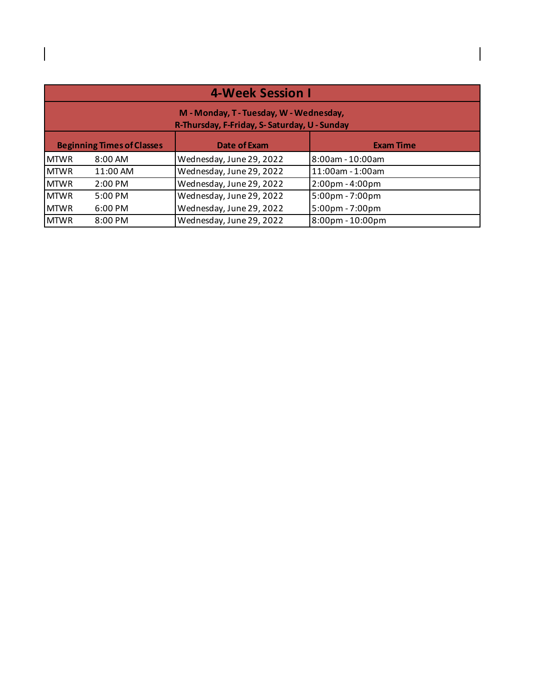| <b>4-Week Session I</b>           |                                                                                         |                          |                                    |  |  |
|-----------------------------------|-----------------------------------------------------------------------------------------|--------------------------|------------------------------------|--|--|
|                                   | M - Monday, T - Tuesday, W - Wednesday,<br>R-Thursday, F-Friday, S-Saturday, U - Sunday |                          |                                    |  |  |
| <b>Beginning Times of Classes</b> |                                                                                         | <b>Date of Exam</b>      | <b>Exam Time</b>                   |  |  |
| <b>MTWR</b>                       | $8:00 \text{ AM}$                                                                       | Wednesday, June 29, 2022 | 8:00am - 10:00am                   |  |  |
| <b>MTWR</b>                       | 11:00 AM                                                                                | Wednesday, June 29, 2022 | 11:00am - 1:00am                   |  |  |
| <b>MTWR</b>                       | $2:00$ PM                                                                               | Wednesday, June 29, 2022 | 2:00pm - 4:00pm                    |  |  |
| <b>MTWR</b>                       | $5:00$ PM                                                                               | Wednesday, June 29, 2022 | 5:00pm - 7:00pm                    |  |  |
| <b>MTWR</b>                       | $6:00 \text{ PM}$                                                                       | Wednesday, June 29, 2022 | 5:00pm - 7:00pm                    |  |  |
| <b>MTWR</b>                       | 8:00 PM                                                                                 | Wednesday, June 29, 2022 | $8:00 \text{pm} - 10:00 \text{pm}$ |  |  |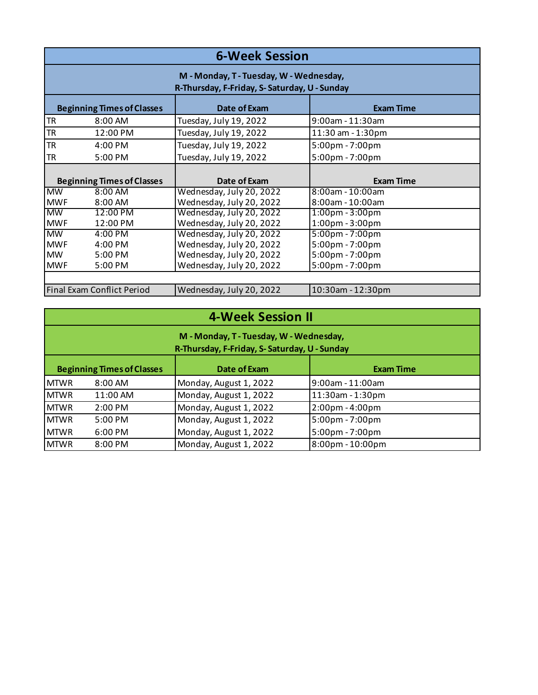| <b>6-Week Session</b> |                                                                                         |                          |                                   |  |  |
|-----------------------|-----------------------------------------------------------------------------------------|--------------------------|-----------------------------------|--|--|
|                       | M - Monday, T - Tuesday, W - Wednesday,<br>R-Thursday, F-Friday, S-Saturday, U - Sunday |                          |                                   |  |  |
|                       | <b>Beginning Times of Classes</b>                                                       | Date of Exam             | <b>Exam Time</b>                  |  |  |
| <b>TR</b>             | $8:00 \text{ AM}$                                                                       | Tuesday, July 19, 2022   | $9:00$ am - 11:30am               |  |  |
| <b>TR</b>             | 12:00 PM                                                                                | Tuesday, July 19, 2022   | 11:30 am - 1:30pm                 |  |  |
| <b>TR</b>             | 4:00 PM                                                                                 | Tuesday, July 19, 2022   | 5:00pm - 7:00pm                   |  |  |
| <b>TR</b>             | 5:00 PM                                                                                 | Tuesday, July 19, 2022   | 5:00pm - 7:00pm                   |  |  |
|                       |                                                                                         |                          |                                   |  |  |
|                       | <b>Beginning Times of Classes</b>                                                       | Date of Exam             | <b>Exam Time</b>                  |  |  |
| <b>MW</b>             | $8:00$ AM                                                                               | Wednesday, July 20, 2022 | 8:00am - 10:00am                  |  |  |
| <b>MWF</b>            | $8:00 \text{ AM}$                                                                       | Wednesday, July 20, 2022 | 8:00am - 10:00am                  |  |  |
| <b>MW</b>             | 12:00 PM                                                                                | Wednesday, July 20, 2022 | $1:00 \text{pm} - 3:00 \text{pm}$ |  |  |
| <b>MWF</b>            | 12:00 PM                                                                                | Wednesday, July 20, 2022 | 1:00pm - 3:00pm                   |  |  |
| <b>MW</b>             | 4:00 PM                                                                                 | Wednesday, July 20, 2022 | 5:00pm - 7:00pm                   |  |  |
| <b>MWF</b>            | 4:00 PM                                                                                 | Wednesday, July 20, 2022 | 5:00pm - 7:00pm                   |  |  |
| <b>MW</b>             | $5:00$ PM                                                                               | Wednesday, July 20, 2022 | 5:00pm - 7:00pm                   |  |  |
| <b>MWF</b>            | 5:00 PM                                                                                 | Wednesday, July 20, 2022 | 5:00pm - 7:00pm                   |  |  |
|                       |                                                                                         |                          |                                   |  |  |
|                       | Final Exam Conflict Period                                                              | Wednesday, July 20, 2022 | 10:30am - 12:30pm                 |  |  |

|  |  |  | <b>4-Week Session II</b> |  |
|--|--|--|--------------------------|--|
|--|--|--|--------------------------|--|

| M - Monday, T - Tuesday, W - Wednesday,<br>R-Thursday, F-Friday, S-Saturday, U - Sunday |                                                                       |                        |                  |  |  |  |
|-----------------------------------------------------------------------------------------|-----------------------------------------------------------------------|------------------------|------------------|--|--|--|
|                                                                                         | <b>Beginning Times of Classes</b><br>Date of Exam<br><b>Exam Time</b> |                        |                  |  |  |  |
| <b>MTWR</b>                                                                             | $8:00 \text{ AM}$                                                     | Monday, August 1, 2022 | 9:00am - 11:00am |  |  |  |
| <b>MTWR</b>                                                                             | 11:00 AM                                                              | Monday, August 1, 2022 | 11:30am - 1:30pm |  |  |  |
| <b>MTWR</b>                                                                             | $2:00 \text{ PM}$                                                     | Monday, August 1, 2022 | 2:00pm - 4:00pm  |  |  |  |
| <b>MTWR</b>                                                                             | $5:00 \text{ PM}$                                                     | Monday, August 1, 2022 | 5:00pm - 7:00pm  |  |  |  |
| <b>MTWR</b>                                                                             | $6:00 \text{ PM}$                                                     | Monday, August 1, 2022 | 5:00pm - 7:00pm  |  |  |  |
| <b>MTWR</b>                                                                             | $8:00 \text{ PM}$                                                     | Monday, August 1, 2022 | 8:00pm - 10:00pm |  |  |  |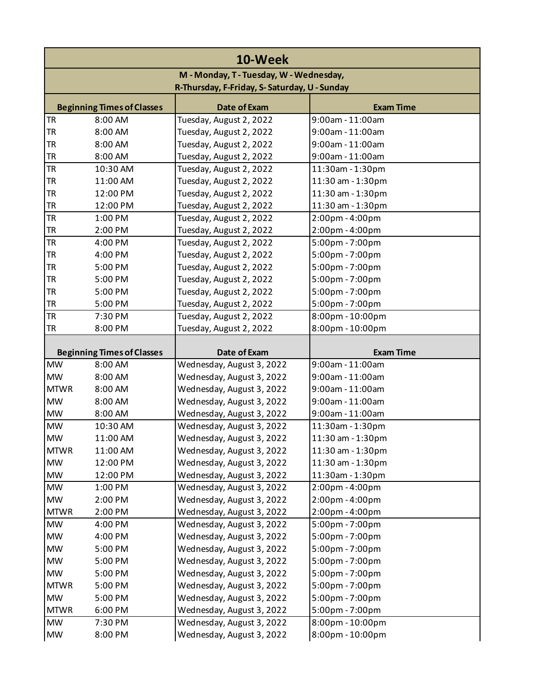| 10-Week                                      |                                   |                           |                   |  |
|----------------------------------------------|-----------------------------------|---------------------------|-------------------|--|
| M - Monday, T - Tuesday, W - Wednesday,      |                                   |                           |                   |  |
| R-Thursday, F-Friday, S-Saturday, U - Sunday |                                   |                           |                   |  |
|                                              | <b>Beginning Times of Classes</b> | <b>Date of Exam</b>       | <b>Exam Time</b>  |  |
| <b>TR</b>                                    | 8:00 AM                           | Tuesday, August 2, 2022   | 9:00am - 11:00am  |  |
| TR                                           | 8:00 AM                           | Tuesday, August 2, 2022   | 9:00am - 11:00am  |  |
| <b>TR</b>                                    | 8:00 AM                           | Tuesday, August 2, 2022   | 9:00am - 11:00am  |  |
| <b>TR</b>                                    | 8:00 AM                           | Tuesday, August 2, 2022   | 9:00am - 11:00am  |  |
| <b>TR</b>                                    | 10:30 AM                          | Tuesday, August 2, 2022   | 11:30am - 1:30pm  |  |
| <b>TR</b>                                    | 11:00 AM                          | Tuesday, August 2, 2022   | 11:30 am - 1:30pm |  |
| <b>TR</b>                                    | 12:00 PM                          | Tuesday, August 2, 2022   | 11:30 am - 1:30pm |  |
| <b>TR</b>                                    | 12:00 PM                          | Tuesday, August 2, 2022   | 11:30 am - 1:30pm |  |
| <b>TR</b>                                    | 1:00 PM                           | Tuesday, August 2, 2022   | 2:00pm - 4:00pm   |  |
| <b>TR</b>                                    | 2:00 PM                           | Tuesday, August 2, 2022   | 2:00pm - 4:00pm   |  |
| <b>TR</b>                                    | 4:00 PM                           | Tuesday, August 2, 2022   | 5:00pm - 7:00pm   |  |
| <b>TR</b>                                    | 4:00 PM                           | Tuesday, August 2, 2022   | 5:00pm - 7:00pm   |  |
| <b>TR</b>                                    | 5:00 PM                           | Tuesday, August 2, 2022   | 5:00pm - 7:00pm   |  |
| TR                                           | 5:00 PM                           | Tuesday, August 2, 2022   | 5:00pm - 7:00pm   |  |
| <b>TR</b>                                    | 5:00 PM                           | Tuesday, August 2, 2022   | 5:00pm - 7:00pm   |  |
| <b>TR</b>                                    | 5:00 PM                           | Tuesday, August 2, 2022   | 5:00pm - 7:00pm   |  |
| <b>TR</b>                                    | 7:30 PM                           | Tuesday, August 2, 2022   | 8:00pm - 10:00pm  |  |
| <b>TR</b>                                    | 8:00 PM                           | Tuesday, August 2, 2022   | 8:00pm - 10:00pm  |  |
|                                              | <b>Beginning Times of Classes</b> | Date of Exam              | <b>Exam Time</b>  |  |
| <b>MW</b>                                    | 8:00 AM                           | Wednesday, August 3, 2022 | 9:00am - 11:00am  |  |
| <b>MW</b>                                    | 8:00 AM                           | Wednesday, August 3, 2022 | 9:00am - 11:00am  |  |
| <b>MTWR</b>                                  | 8:00 AM                           | Wednesday, August 3, 2022 | 9:00am - 11:00am  |  |
| <b>MW</b>                                    | 8:00 AM                           | Wednesday, August 3, 2022 | 9:00am - 11:00am  |  |
| <b>MW</b>                                    | 8:00 AM                           | Wednesday, August 3, 2022 | 9:00am - 11:00am  |  |
| <b>MW</b>                                    | 10:30 AM                          | Wednesday, August 3, 2022 | 11:30am - 1:30pm  |  |
| <b>MW</b>                                    | 11:00 AM                          | Wednesday, August 3, 2022 | 11:30 am - 1:30pm |  |
| <b>MTWR</b>                                  | 11:00 AM                          | Wednesday, August 3, 2022 | 11:30 am - 1:30pm |  |
| <b>MW</b>                                    | 12:00 PM                          | Wednesday, August 3, 2022 | 11:30 am - 1:30pm |  |
| <b>MW</b>                                    | 12:00 PM                          | Wednesday, August 3, 2022 | 11:30am - 1:30pm  |  |
| <b>MW</b>                                    | 1:00 PM                           | Wednesday, August 3, 2022 | 2:00pm - 4:00pm   |  |
| <b>MW</b>                                    | 2:00 PM                           | Wednesday, August 3, 2022 | 2:00pm - 4:00pm   |  |
| <b>MTWR</b>                                  | 2:00 PM                           | Wednesday, August 3, 2022 | 2:00pm - 4:00pm   |  |
| <b>MW</b>                                    | 4:00 PM                           | Wednesday, August 3, 2022 | 5:00pm - 7:00pm   |  |
| <b>MW</b>                                    | 4:00 PM                           | Wednesday, August 3, 2022 | 5:00pm - 7:00pm   |  |
| <b>MW</b>                                    | 5:00 PM                           | Wednesday, August 3, 2022 | 5:00pm - 7:00pm   |  |
| <b>MW</b>                                    | 5:00 PM                           | Wednesday, August 3, 2022 | 5:00pm - 7:00pm   |  |
| <b>MW</b>                                    | 5:00 PM                           | Wednesday, August 3, 2022 | 5:00pm - 7:00pm   |  |
| <b>MTWR</b>                                  | 5:00 PM                           | Wednesday, August 3, 2022 | 5:00pm - 7:00pm   |  |
| <b>MW</b>                                    | 5:00 PM                           | Wednesday, August 3, 2022 | 5:00pm - 7:00pm   |  |
| <b>MTWR</b>                                  | 6:00 PM                           | Wednesday, August 3, 2022 | 5:00pm - 7:00pm   |  |
| <b>MW</b>                                    | 7:30 PM                           | Wednesday, August 3, 2022 | 8:00pm - 10:00pm  |  |
| $\textsf{MW}{}$                              | 8:00 PM                           | Wednesday, August 3, 2022 | 8:00pm - 10:00pm  |  |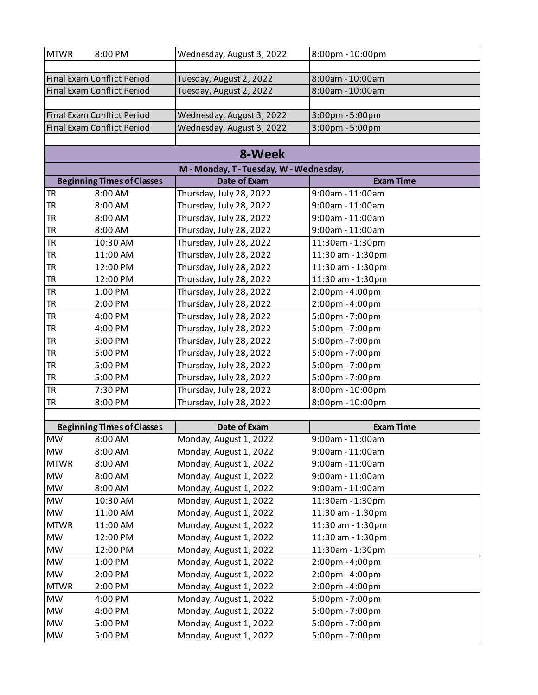| <b>MTWR</b> | 8:00 PM                           | Wednesday, August 3, 2022               | 8:00pm - 10:00pm  |
|-------------|-----------------------------------|-----------------------------------------|-------------------|
|             |                                   |                                         |                   |
|             | <b>Final Exam Conflict Period</b> | Tuesday, August 2, 2022                 | 8:00am - 10:00am  |
|             | <b>Final Exam Conflict Period</b> | Tuesday, August 2, 2022                 | 8:00am - 10:00am  |
|             |                                   |                                         |                   |
|             | <b>Final Exam Conflict Period</b> | Wednesday, August 3, 2022               | 3:00pm - 5:00pm   |
|             | <b>Final Exam Conflict Period</b> | Wednesday, August 3, 2022               | 3:00pm - 5:00pm   |
|             |                                   |                                         |                   |
|             |                                   | 8-Week                                  |                   |
|             |                                   | M - Monday, T - Tuesday, W - Wednesday, |                   |
|             | <b>Beginning Times of Classes</b> | <b>Date of Exam</b>                     | <b>Exam Time</b>  |
| <b>TR</b>   | 8:00 AM                           | Thursday, July 28, 2022                 | 9:00am - 11:00am  |
| <b>TR</b>   | 8:00 AM                           | Thursday, July 28, 2022                 | 9:00am - 11:00am  |
| <b>TR</b>   | 8:00 AM                           | Thursday, July 28, 2022                 | 9:00am - 11:00am  |
| <b>TR</b>   | 8:00 AM                           | Thursday, July 28, 2022                 | 9:00am - 11:00am  |
| <b>TR</b>   | 10:30 AM                          | Thursday, July 28, 2022                 | 11:30am - 1:30pm  |
| <b>TR</b>   | 11:00 AM                          | Thursday, July 28, 2022                 | 11:30 am - 1:30pm |
| <b>TR</b>   | 12:00 PM                          | Thursday, July 28, 2022                 | 11:30 am - 1:30pm |
| <b>TR</b>   | 12:00 PM                          | Thursday, July 28, 2022                 | 11:30 am - 1:30pm |
| <b>TR</b>   | 1:00 PM                           | Thursday, July 28, 2022                 | 2:00pm - 4:00pm   |
| <b>TR</b>   | 2:00 PM                           | Thursday, July 28, 2022                 | 2:00pm - 4:00pm   |
| <b>TR</b>   | 4:00 PM                           | Thursday, July 28, 2022                 | 5:00pm - 7:00pm   |
| <b>TR</b>   | 4:00 PM                           | Thursday, July 28, 2022                 | 5:00pm - 7:00pm   |
| <b>TR</b>   | 5:00 PM                           | Thursday, July 28, 2022                 | 5:00pm - 7:00pm   |
| <b>TR</b>   | 5:00 PM                           | Thursday, July 28, 2022                 | 5:00pm - 7:00pm   |
| <b>TR</b>   | 5:00 PM                           | Thursday, July 28, 2022                 | 5:00pm - 7:00pm   |
| <b>TR</b>   | 5:00 PM                           | Thursday, July 28, 2022                 | 5:00pm - 7:00pm   |
| <b>TR</b>   | 7:30 PM                           | Thursday, July 28, 2022                 | 8:00pm - 10:00pm  |
| <b>TR</b>   | 8:00 PM                           | Thursday, July 28, 2022                 | 8:00pm - 10:00pm  |
|             | <b>Beginning Times of Classes</b> | Date of Exam                            | <b>Exam Time</b>  |
| <b>MW</b>   | 8:00 AM                           | Monday, August 1, 2022                  | 9:00am - 11:00am  |
| <b>MW</b>   | 8:00 AM                           | Monday, August 1, 2022                  | 9:00am - 11:00am  |
| <b>MTWR</b> | 8:00 AM                           | Monday, August 1, 2022                  | 9:00am - 11:00am  |
| <b>MW</b>   | 8:00 AM                           | Monday, August 1, 2022                  | 9:00am - 11:00am  |
| <b>MW</b>   | 8:00 AM                           | Monday, August 1, 2022                  | 9:00am - 11:00am  |
| <b>MW</b>   | 10:30 AM                          | Monday, August 1, 2022                  | 11:30am - 1:30pm  |
| <b>MW</b>   | 11:00 AM                          | Monday, August 1, 2022                  | 11:30 am - 1:30pm |
| <b>MTWR</b> | 11:00 AM                          | Monday, August 1, 2022                  | 11:30 am - 1:30pm |
| <b>MW</b>   | 12:00 PM                          | Monday, August 1, 2022                  | 11:30 am - 1:30pm |
| <b>MW</b>   | 12:00 PM                          | Monday, August 1, 2022                  | 11:30am - 1:30pm  |
| <b>MW</b>   | 1:00 PM                           | Monday, August 1, 2022                  | 2:00pm - 4:00pm   |
| <b>MW</b>   | 2:00 PM                           | Monday, August 1, 2022                  | 2:00pm - 4:00pm   |
| <b>MTWR</b> | 2:00 PM                           | Monday, August 1, 2022                  | 2:00pm - 4:00pm   |
| <b>MW</b>   | 4:00 PM                           | Monday, August 1, 2022                  | 5:00pm - 7:00pm   |
| <b>MW</b>   | 4:00 PM                           | Monday, August 1, 2022                  | 5:00pm - 7:00pm   |
| <b>MW</b>   | 5:00 PM                           | Monday, August 1, 2022                  | 5:00pm - 7:00pm   |
| <b>MW</b>   | 5:00 PM                           | Monday, August 1, 2022                  | 5:00pm - 7:00pm   |